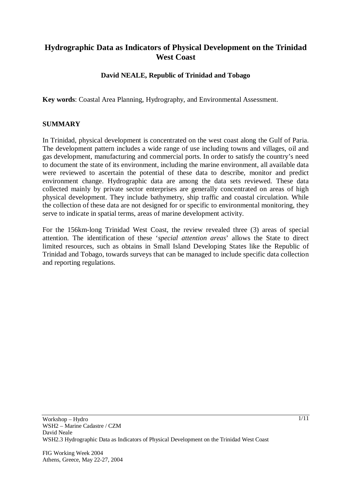# **Hydrographic Data as Indicators of Physical Development on the Trinidad West Coast**

## **David NEALE, Republic of Trinidad and Tobago**

**Key words**: Coastal Area Planning, Hydrography, and Environmental Assessment.

## **SUMMARY**

In Trinidad, physical development is concentrated on the west coast along the Gulf of Paria. The development pattern includes a wide range of use including towns and villages, oil and gas development, manufacturing and commercial ports. In order to satisfy the country's need to document the state of its environment, including the marine environment, all available data were reviewed to ascertain the potential of these data to describe, monitor and predict environment change. Hydrographic data are among the data sets reviewed. These data collected mainly by private sector enterprises are generally concentrated on areas of high physical development. They include bathymetry, ship traffic and coastal circulation. While the collection of these data are not designed for or specific to environmental monitoring, they serve to indicate in spatial terms, areas of marine development activity.

For the 156km-long Trinidad West Coast, the review revealed three (3) areas of special attention. The identification of these '*special attention areas*' allows the State to direct limited resources, such as obtains in Small Island Developing States like the Republic of Trinidad and Tobago, towards surveys that can be managed to include specific data collection and reporting regulations.

FIG Working Week 2004 Athens, Greece, May 22-27, 2004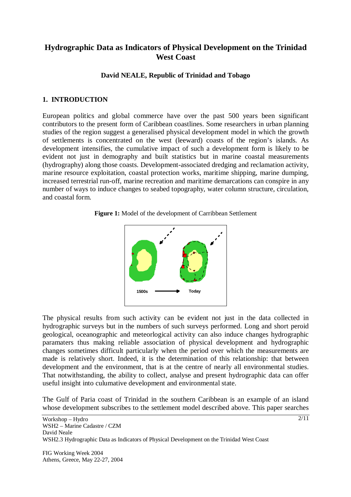## **Hydrographic Data as Indicators of Physical Development on the Trinidad West Coast**

## **David NEALE, Republic of Trinidad and Tobago**

## **1. INTRODUCTION**

European politics and global commerce have over the past 500 years been significant contributors to the present form of Caribbean coastlines. Some researchers in urban planning studies of the region suggest a generalised physical development model in which the growth of settlements is concentrated on the west (leeward) coasts of the region's islands. As development intensifies, the cumulative impact of such a development form is likely to be evident not just in demography and built statistics but in marine coastal measurements (hydrography) along those coasts. Development-associated dredging and reclamation activity, marine resource exploitation, coastal protection works, maritime shipping, marine dumping, increased terrestrial run-off, marine recreation and maritime demarcations can conspire in any number of ways to induce changes to seabed topography, water column structure, circulation, and coastal form.





The physical results from such activity can be evident not just in the data collected in hydrographic surveys but in the numbers of such surveys performed. Long and short peroid geological, oceanographic and meteorlogical activity can also induce changes hydrographic paramaters thus making reliable association of physical development and hydrographic changes sometimes difficult particularly when the period over which the measurements are made is relatively short. Indeed, it is the determination of this relationship: that between development and the environment, that is at the centre of nearly all environmental studies. That notwithstanding, the ability to collect, analyse and present hydrographic data can offer useful insight into culumative development and environmental state.

The Gulf of Paria coast of Trinidad in the southern Caribbean is an example of an island whose development subscribes to the settlement model described above. This paper searches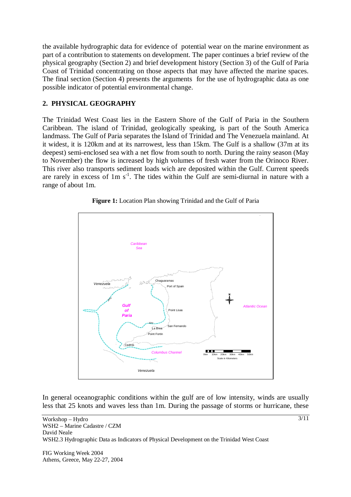the available hydrographic data for evidence of potential wear on the marine environment as part of a contribution to statements on development. The paper continues a brief review of the physical geography (Section 2) and brief development history (Section 3) of the Gulf of Paria Coast of Trinidad concentrating on those aspects that may have affected the marine spaces. The final section (Section 4) presents the arguments for the use of hydrographic data as one possible indicator of potential environmental change.

## **2. PHYSICAL GEOGRAPHY**

The Trinidad West Coast lies in the Eastern Shore of the Gulf of Paria in the Southern Caribbean. The island of Trinidad, geologically speaking, is part of the South America landmass. The Gulf of Paria separates the Island of Trinidad and The Venezuela mainland. At it widest, it is 120km and at its narrowest, less than 15km. The Gulf is a shallow (37m at its deepest) semi-enclosed sea with a net flow from south to north. During the rainy season (May to November) the flow is increased by high volumes of fresh water from the Orinoco River. This river also transports sediment loads wich are deposited within the Gulf. Current speeds are rarely in excess of  $1m s<sup>-1</sup>$ . The tides within the Gulf are semi-diurnal in nature with a range of about 1m.





In general oceanographic conditions within the gulf are of low intensity, winds are usually less that 25 knots and waves less than 1m. During the passage of storms or hurricane, these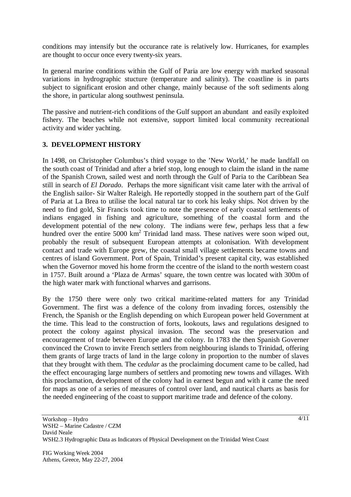conditions may intensify but the occurance rate is relatively low. Hurricanes, for examples are thought to occur once every twenty-six years.

In general marine conditions within the Gulf of Paria are low energy with marked seasonal variations in hydrographic stucture (temperature and salinity). The coastline is in parts subject to significant erosion and other change, mainly because of the soft sediments along the shore, in particular along southwest peninsula.

The passive and nutrient-rich conditions of the Gulf support an abundant and easily exploited fishery. The beaches while not extensive, support limited local community recreational activity and wider yachting.

## **3. DEVELOPMENT HISTORY**

In 1498, on Christopher Columbus's third voyage to the 'New World,' he made landfall on the south coast of Trinidad and after a brief stop, long enough to claim the island in the name of the Spanish Crown, sailed west and north through the Gulf of Paria to the Caribbean Sea still in search of *El Dorado*. Perhaps the more significant visit came later with the arrival of the English sailor- Sir Walter Raleigh. He reportedly stopped in the southern part of the Gulf of Paria at La Brea to utilise the local natural tar to cork his leaky ships. Not driven by the need to find gold, Sir Francis took time to note the presence of early coastal settlements of indians engaged in fishing and agriculture, something of the coastal form and the development potential of the new colony. The indians were few, perhaps less that a few hundred over the entire 5000 km<sup>2</sup> Trinidad land mass. These natives were soon wiped out, probably the result of subsequent European attempts at colonisation. With development contact and trade with Europe grew, the coastal small village settlements became towns and centres of island Government. Port of Spain, Trinidad's present capital city, was established when the Governor moved his home frorm the ccentre of the island to the north western coast in 1757. Built around a 'Plaza de Armas' square, the town centre was located with 300m of the high water mark with functional wharves and garrisons.

By the 1750 there were only two critical maritime-related matters for any Trinidad Government. The first was a defence of the colony from invading forces, ostensibly the French, the Spanish or the English depending on which European power held Government at the time. This lead to the construction of forts, lookouts, laws and regulations designed to protect the colony against physical invasion. The second was the preservation and encouragement of trade between Europe and the colony. In 1783 the then Spanish Governer convinced the Crown to invite French settlers from neighbouring islands to Trinidad, offering them grants of large tracts of land in the large colony in proportion to the number of slaves that they brought with them. The c*edular* as the proclaiming document came to be called, had the effect encouraging large numbers of settlers and promoting new towns and villages. With this proclamation, development of the colony had in earnest begun and with it came the need for maps as one of a series of measures of control over land, and nautical charts as basis for the needed engineering of the coast to support maritime trade and defence of the colony.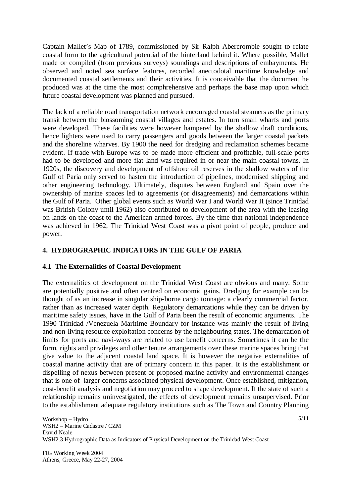Captain Mallet's Map of 1789, commissioned by Sir Ralph Abercrombie sought to relate coastal form to the agricultural potential of the hinterland behind it. Where possible, Mallet made or compiled (from previous surveys) soundings and descriptions of embayments. He observed and noted sea surface features, recorded anectodotal maritime knowledge and documented coastal settlements and their activities. It is conceivable that the document he produced was at the time the most comphrehensive and perhaps the base map upon which future coastal development was planned and pursued.

The lack of a reliable road transportation network encouraged coastal steamers as the primary transit between the blossoming coastal villages and estates. In turn small wharfs and ports were developed. These facilities were however hampered by the shallow draft conditions, hence lighters were used to carry passengers and goods between the larger coastal packets and the shoreline wharves. By 1900 the need for dredging and reclamation schemes became evident. If trade with Europe was to be made more efficient and profitable, full-scale ports had to be developed and more flat land was required in or near the main coastal towns. In 1920s, the discovery and development of offshore oil reserves in the shallow waters of the Gulf of Paria only served to hasten the introduction of pipelines, modernised shipping and other engineering technology. Ultimately, disputes between England and Spain over the ownership of marine spaces led to agreements (or disagreements) and demarcations within the Gulf of Paria. Other global events such as World War I and World War II (since Trinidad was British Colony until 1962) also contributed to development of the area with the leasing on lands on the coast to the American armed forces. By the time that national independence was achieved in 1962, The Trinidad West Coast was a pivot point of people, produce and power.

## **4. HYDROGRAPHIC INDICATORS IN THE GULF OF PARIA**

## **4.1 The Externalities of Coastal Development**

The externalities of development on the Trinidad West Coast are obvious and many. Some are potentially positive and often centred on economic gains. Dredging for example can be thought of as an increase in singular ship-borne cargo tonnage: a clearly commercial factor, rather than as increased water depth. Regulatory demarcations while they can be driven by maritime safety issues, have in the Gulf of Paria been the result of economic arguments. The 1990 Trinidad /Venezuela Maritime Boundary for instance was mainly the result of living and non-living resource exploitation concerns by the neighbouring states. The demarcation of limits for ports and navi-ways are related to use benefit concerns. Sometimes it can be the form, rights and privileges and other tenure arrangements over these marine spaces bring that give value to the adjacent coastal land space. It is however the negative externalities of coastal marine activity that are of primary concern in this paper. It is the establishment or dispelling of nexus between present or proposed marine activity and environmental changes that is one of larger concerns associated physical development. Once established, mitigation, cost-benefit analysis and negotiation may proceed to shape development. If the state of such a relationship remains uninvestigated, the effects of development remains unsupervised. Prior to the establishment adequate regulatory institutions such as The Town and Country Planning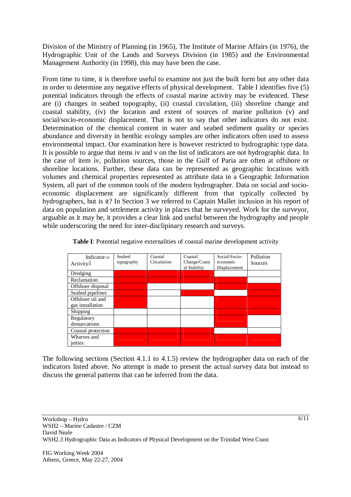Division of the Ministry of Planning (in 1965), The Institute of Marine Affairs (in 1976), the Hydrographic Unit of the Lands and Surveys Division (in 1985) and the Environmental Management Authority (in 1998), this may have been the case.

From time to time, it is therefore useful to examine not just the built form but any other data in order to determine any negative effects of physical development. Table I identifies five (5) potential indicators through the effects of coastal marine activity may be evidenced. These are (i) changes in seabed topography, (ii) coastal circulation, (iii) shoreline change and coastal stability, (iv) the location and extent of sources of marine pollution (v) and social/socio-economic displacement. That is not to say that other indicators do not exist. Determination of the chemical content in water and seabed sediment quality or species abundance and diversity in benthic ecology samples are other indicators often used to assess environmental impact. Our examination here is however restricted to hydrographic type data. It is possible to argue that items iv and v on the list of indicators are not hydrographic data. In the case of item iv, pollution sources, those in the Gulf of Paria are often at offshore or shoreline locations. Further, these data can be represented as geographic locations with volumes and chemical properties represented as attribute data in a Geographic Information System, all part of the common tools of the modern hydrographer. Data on social and socioeconomic displacement are significantly different from that typically collected by hydrographers, but is it? In Section 3 we referred to Captain Mallet inclusion in his report of data on population and settlement activity in places that he surveyed. Work for the surveyor, arguable as it may be, it provides a clear link and useful between the hydrography and people while underscoring the need for inter-disclipinary research and surveys.

| Indicator $\Rightarrow$<br>Activity $\Downarrow$ | Seabed<br>topography | Coastal<br>Circulation | Coastal<br>Change/Coast<br>al Stability | Social/Socio-<br>economic<br>Displacement | Pollution<br>Sources |
|--------------------------------------------------|----------------------|------------------------|-----------------------------------------|-------------------------------------------|----------------------|
| Dredging                                         |                      |                        |                                         |                                           |                      |
| Reclamation                                      |                      |                        |                                         |                                           |                      |
| Offshore disposal                                |                      |                        |                                         |                                           |                      |
| Seabed pipelines                                 |                      |                        |                                         |                                           |                      |
| Offshore oil and                                 |                      |                        |                                         |                                           |                      |
| gas installation                                 |                      |                        |                                         |                                           |                      |
| Shipping                                         |                      |                        |                                         |                                           |                      |
| Regulatory                                       |                      |                        |                                         |                                           |                      |
| demarcations                                     |                      |                        |                                         |                                           |                      |
| Coastal protection                               |                      |                        |                                         |                                           |                      |
| Wharves and                                      |                      |                        |                                         |                                           |                      |
| jetties                                          |                      |                        |                                         |                                           |                      |

**Table I**: Potential negative externalities of coastal marine development activity

The following sections (Section 4.1.1 to 4.1.5) review the hydrographer data on each of the indicators listed above. No attempt is made to present the actual survey data but instead to discuss the general patterns that can be inferred from the data.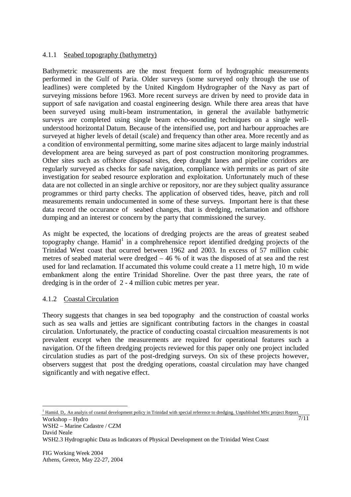### 4.1.1 Seabed topography (bathymetry)

Bathymetric measurements are the most frequent form of hydrographic measurements performed in the Gulf of Paria. Older surveys (some surveyed only through the use of leadlines) were completed by the United Kingdom Hydrographer of the Navy as part of surveying missions before 1963. More recent surveys are driven by need to provide data in support of safe navigation and coastal engineering design. While there area areas that have been surveyed using multi-beam instrumentation, in general the available bathymetric surveys are completed using single beam echo-sounding techniques on a single wellunderstood horizontal Datum. Because of the intensified use, port and harbour approaches are surveyed at higher levels of detail (scale) and frequency than other area. More recently and as a condition of environmental permitting, some marine sites adjacent to large mainly industrial development area are being surveyed as part of post construction monitoring programmes. Other sites such as offshore disposal sites, deep draught lanes and pipeline corridors are regularly surveyed as checks for safe navigation, compliance with permits or as part of site investigation for seabed resource exploration and exploitation. Unfortunately much of these data are not collected in an single archive or repository, nor are they subject quality assurance programmes or third party checks. The application of observed tides, heave, pitch and roll measurements remain undocumented in some of these surveys. Important here is that these data record the occurance of seabed changes, that is dredging, reclamation and offshore dumping and an interest or concern by the party that commissioned the survey.

As might be expected, the locations of dredging projects are the areas of greatest seabed topography change. Hamid<sup>1</sup> in a comphrehensice report identified dredging projects of the Trinidad West coast that ocurred between 1962 and 2003. In excess of 57 million cubic metres of seabed material were dredged – 46 % of it was the disposed of at sea and the rest used for land reclamation. If accumated this volume could create a 11 metre high, 10 m wide embankment along the entire Trinidad Shoreline. Over the past three years, the rate of dredging is in the order of 2 - 4 million cubic metres per year.

## 4.1.2 Coastal Circulation

Theory suggests that changes in sea bed topography and the construction of coastal works such as sea walls and jetties are significant contributing factors in the changes in coastal circulation. Unfortunately, the practice of conducting coastal circualtion measurements is not prevalent except when the measurements are required for operational features such a navigation. Of the fifteen dredging projects reviewed for this paper only one project included circulation studies as part of the post-dredging surveys. On six of these projects however, observers suggest that post the dredging operations, coastal circulation may have changed significantly and with negative effect.

Workshop – Hydro WSH2 – Marine Cadastre / CZM David Neale WSH2.3 Hydrographic Data as Indicators of Physical Development on the Trinidad West Coast <sup>1</sup> Hamid. D,. An analyis of coastal development policy in Trinidad with special reference to dredging. Unpublished MSc project Report.

7/11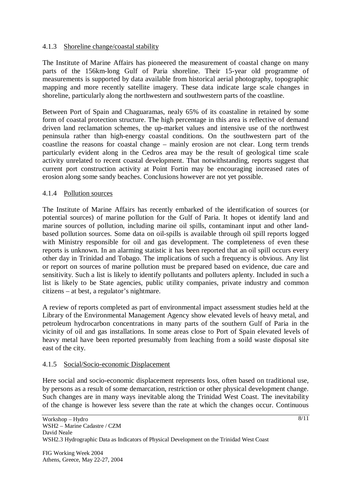### 4.1.3 Shoreline change/coastal stability

The Institute of Marine Affairs has pioneered the measurement of coastal change on many parts of the 156km-long Gulf of Paria shoreline. Their 15-year old programme of measurements is supported by data available from historical aerial photography, topographic mapping and more recently satellite imagery. These data indicate large scale changes in shoreline, particularly along the northwestern and southwestern parts of the coastline.

Between Port of Spain and Chaguaramas, nealy 65% of its coastaline in retained by some form of coastal protection structure. The high percentage in this area is reflective of demand driven land reclamation schemes, the up-market values and intensive use of the northwest peninsula rather than high-energy coastal conditions. On the southwestern part of the coastline the reasons for coastal change – mainly erosion are not clear. Long term trends particularly evident along in the Cedros area may be the result of geological time scale activity unrelated to recent coastal development. That notwithstanding, reports suggest that current port construction activity at Point Fortin may be encouraging increased rates of erosion along some sandy beaches. Conclusions however are not yet possible.

#### 4.1.4 Pollution sources

The Institute of Marine Affairs has recently embarked of the identification of sources (or potential sources) of marine pollution for the Gulf of Paria. It hopes ot identify land and marine sources of pollution, including marine oil spills, contaminant input and other landbased pollution sources. Some data on oil-spills is available through oil spill reports logged with Ministry responsible for oil and gas development. The completeness of even these reports is unknown. In an alarming statistic it has been reported that an oil spill occurs every other day in Trinidad and Tobago. The implications of such a frequency is obvious. Any list or report on sources of marine pollution must be prepared based on evidence, due care and sensitivity. Such a list is likely to identify pollutants and polluters aplenty. Included in such a list is likely to be State agencies, public utility companies, private industry and common citizens – at best, a regulator's nightmare.

A review of reports completed as part of environmental impact assessment studies held at the Library of the Environmental Management Agency show elevated levels of heavy metal, and petroleum hydrocarbon concentrations in many parts of the southern Gulf of Paria in the vicinity of oil and gas installations. In some areas close to Port of Spain elevated levels of heavy metal have been reported presumably from leaching from a soild waste disposal site east of the city.

#### 4.1.5 Social/Socio-economic Displacement

Here social and socio-economic displacement represents loss, often based on traditional use, by persons as a result of some demarcation, restriction or other physical development change. Such changes are in many ways inevitable along the Trinidad West Coast. The inevitability of the change is however less severe than the rate at which the changes occur. Continuous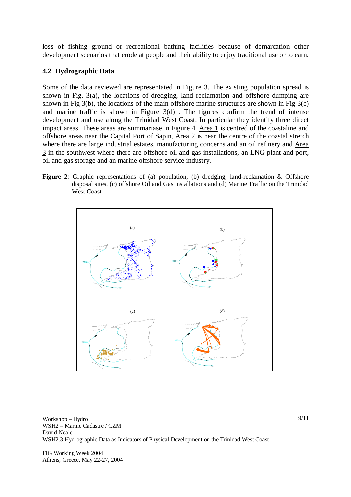loss of fishing ground or recreational bathing facilities because of demarcation other development scenarios that erode at people and their ability to enjoy traditional use or to earn.

#### **4.2 Hydrographic Data**

Some of the data reviewed are representated in Figure 3. The existing population spread is shown in Fig. 3(a), the locations of dredging, land reclamation and offshore dumping are shown in Fig 3(b), the locations of the main offshore marine structures are shown in Fig 3(c) and marine traffic is shown in Figure 3(d) . The figures confirm the trend of intense development and use along the Trinidad West Coast. In particular they identify three direct impact areas. These areas are summariase in Figure 4. Area 1 is centred of the coastaline and offshore areas near the Capital Port of Sapin, Area 2 is near the centre of the coastal stretch where there are large industrial estates, manufacturing concerns and an oil refinery and Area 3 in the southwest where there are offshore oil and gas installations, an LNG plant and port, oil and gas storage and an marine offshore service industry.

**Figure 2***:* Graphic representations of (a) population, (b) dredging, land-reclamation & Offshore disposal sites, (c) offshore Oil and Gas installations and (d) Marine Traffic on the Trinidad West Coast



Workshop – Hydro WSH2 – Marine Cadastre / CZM David Neale WSH2.3 Hydrographic Data as Indicators of Physical Development on the Trinidad West Coast

FIG Working Week 2004 Athens, Greece, May 22-27, 2004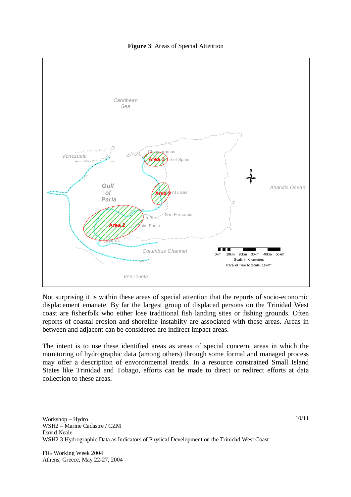



Not surprising it is within these areas of special attention that the reports of socio-economic displacement emanate. By far the largest group of displaced persons on the Trinidad West coast are fisherfolk who either lose traditional fish landing sites or fishing grounds. Often reports of coastal erosion and shoreline instabilty are associated with these areas. Areas in between and adjacent can be considered are indirect impact areas.

The intent is to use these identified areas as areas of special concern, areas in which the monitoring of hydrographic data (among others) through some formal and managed process may offer a description of envoronmental trends. In a resource constrained Small Island States like Trinidad and Tobago, efforts can be made to direct or redirect efforts at data collection to these areas.